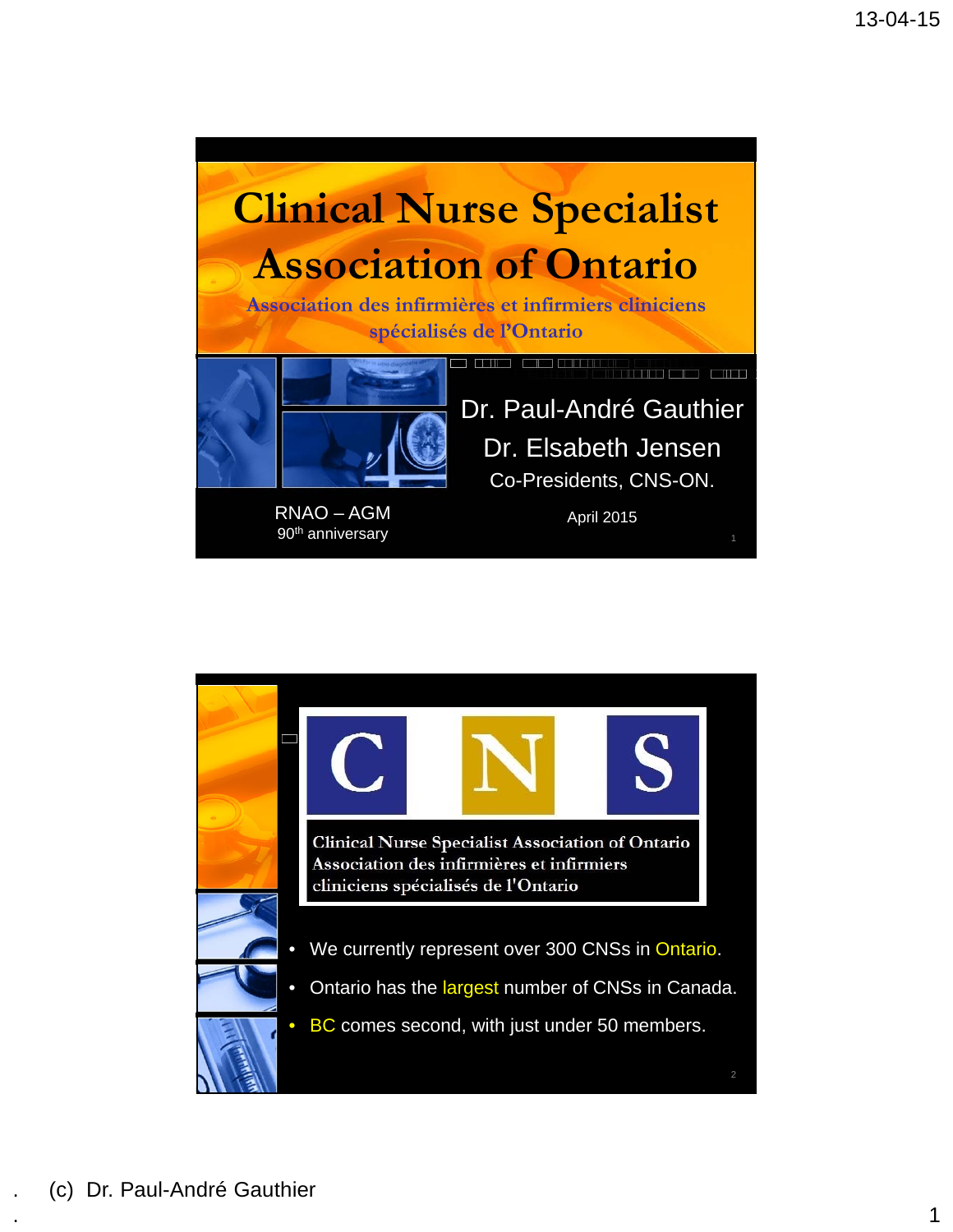

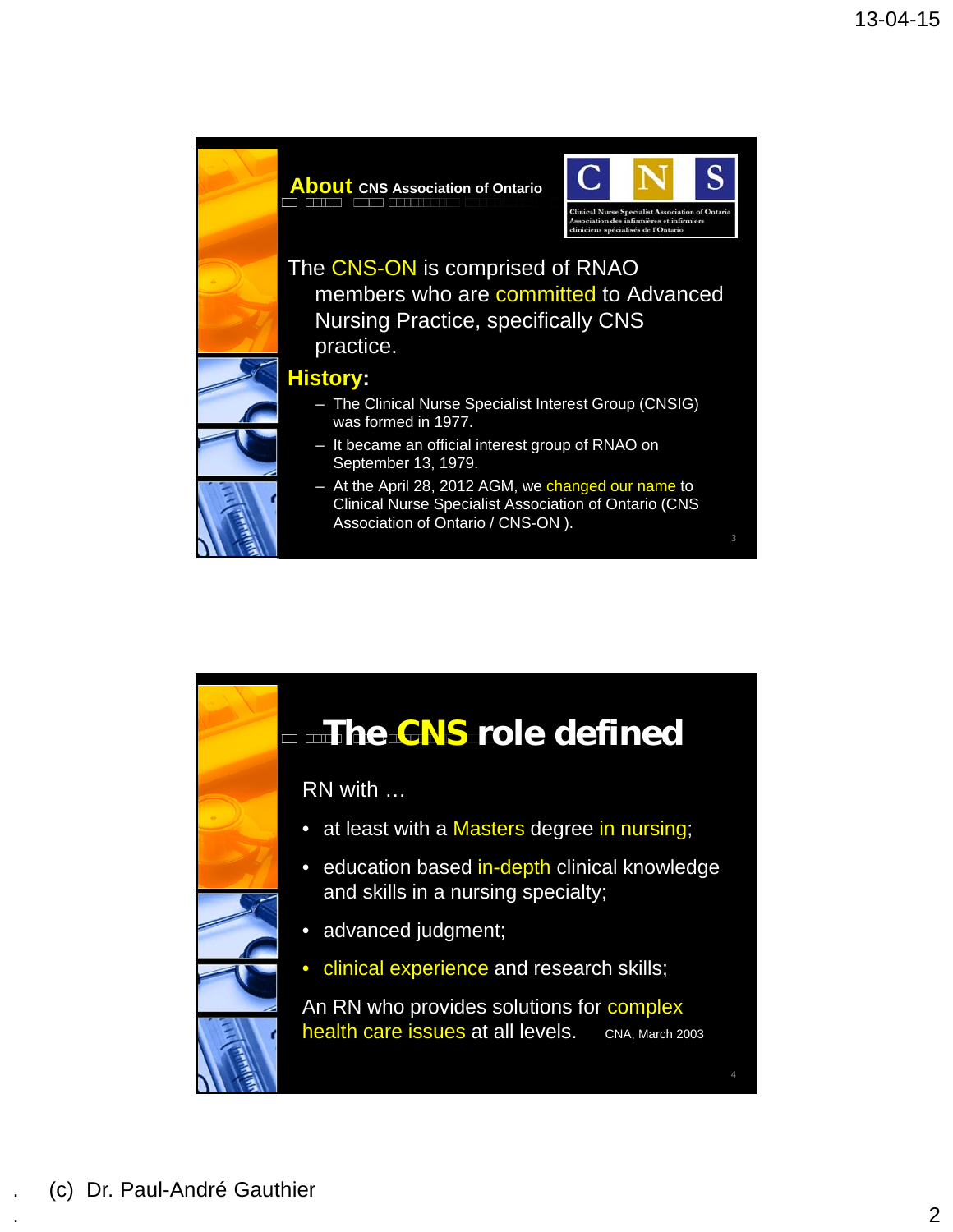

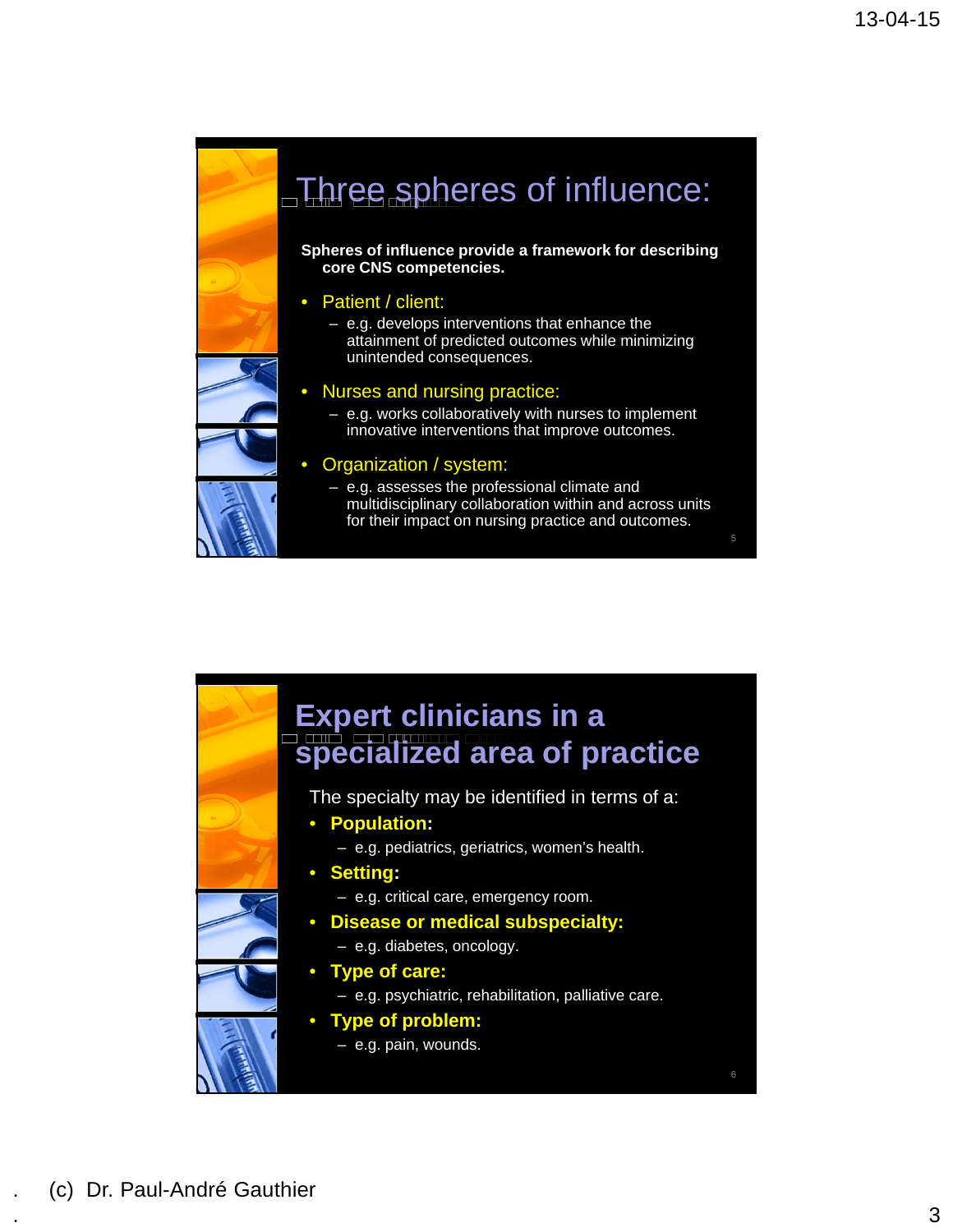## Three spheres of influence:

**Spheres of influence provide a framework for describing core CNS competencies.**

### Patient / client:

– e.g. develops interventions that enhance the attainment of predicted outcomes while minimizing unintended consequences.

#### • Nurses and nursing practice:

– e.g. works collaboratively with nurses to implement innovative interventions that improve outcomes.

#### • Organization / system:

– e.g. assesses the professional climate and multidisciplinary collaboration within and across units for their impact on nursing practice and outcomes.

5

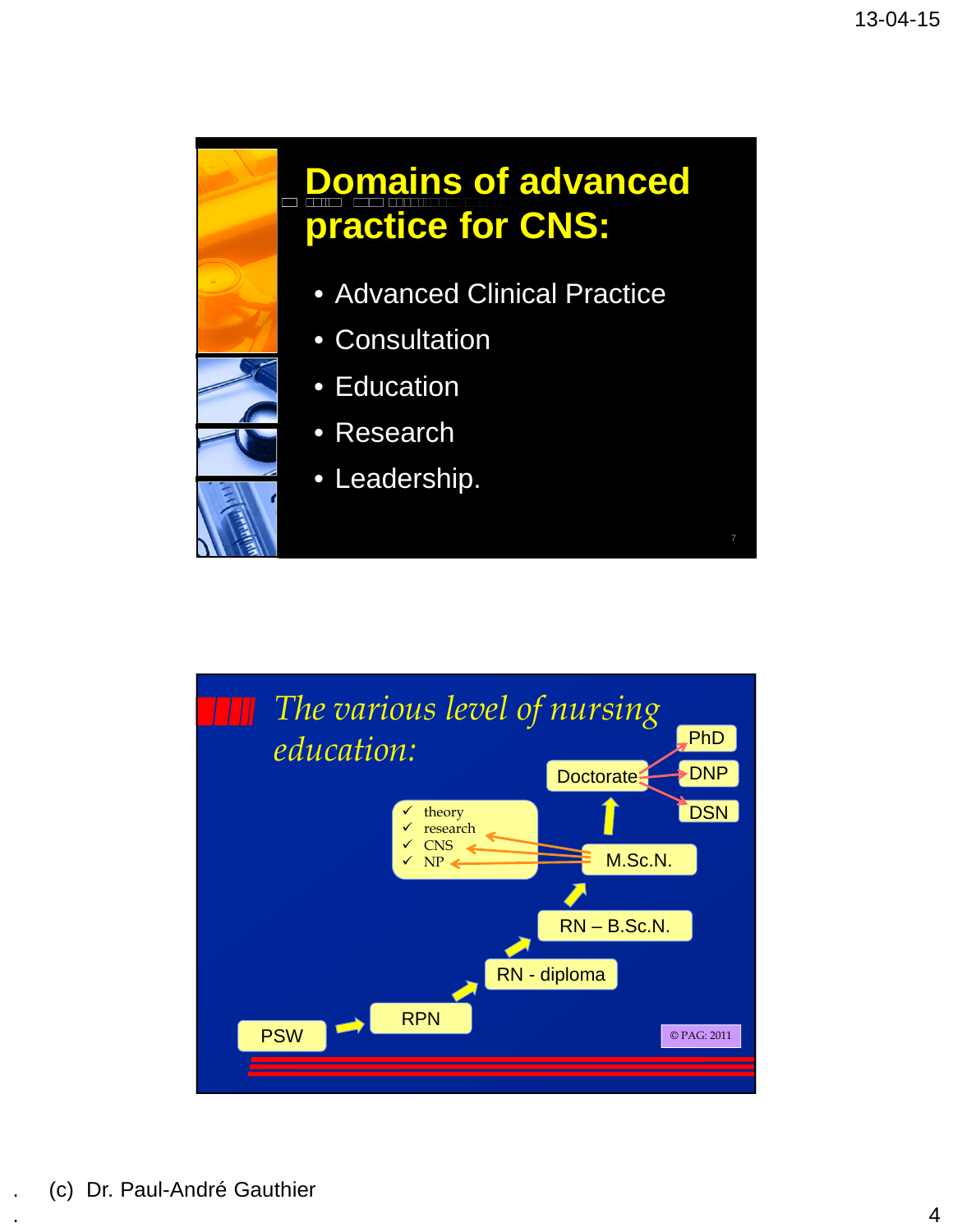7



# **Domains of advanced practice for CNS:**

- Advanced Clinical Practice
- Consultation
- Education
- Research
- Leadership.

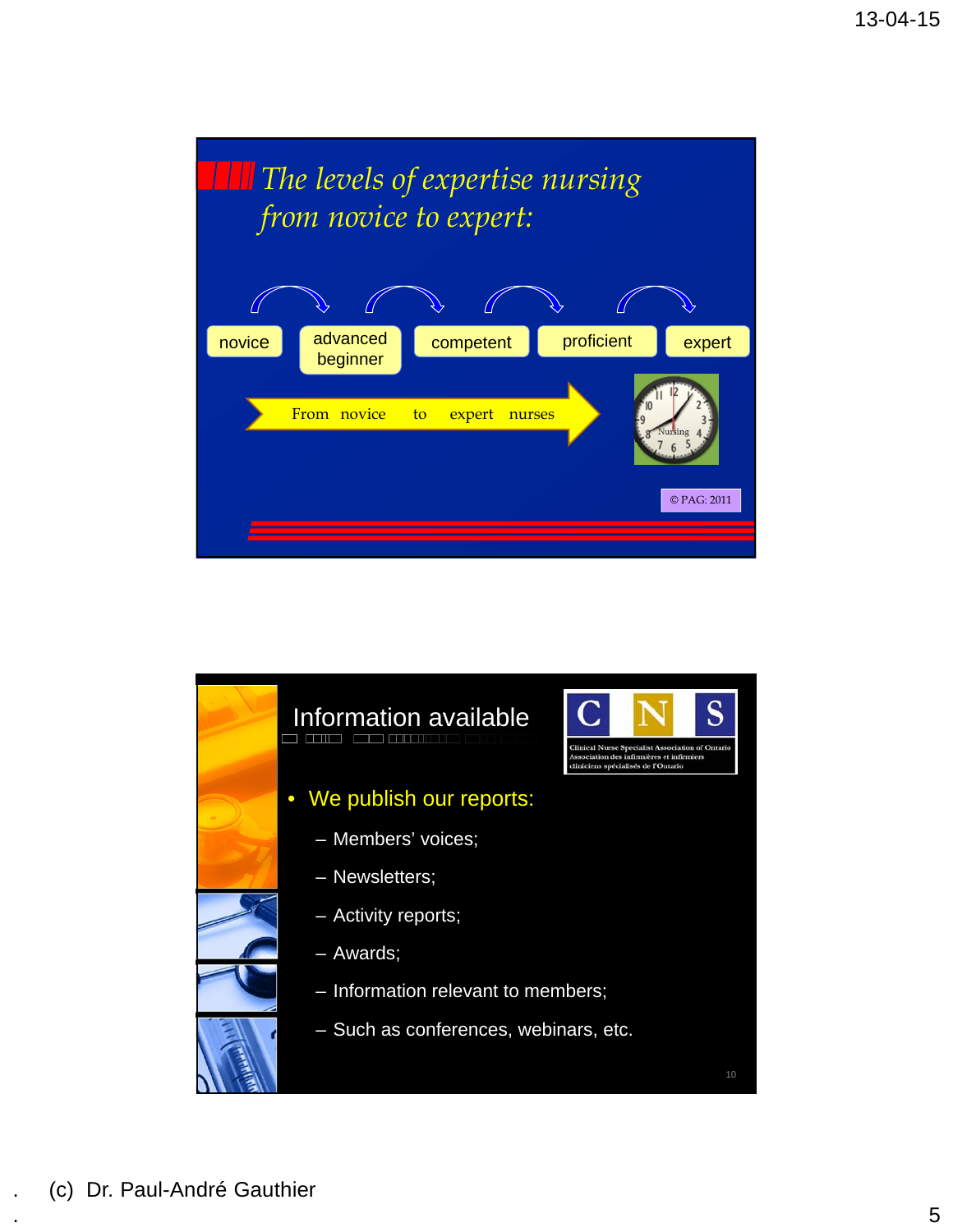

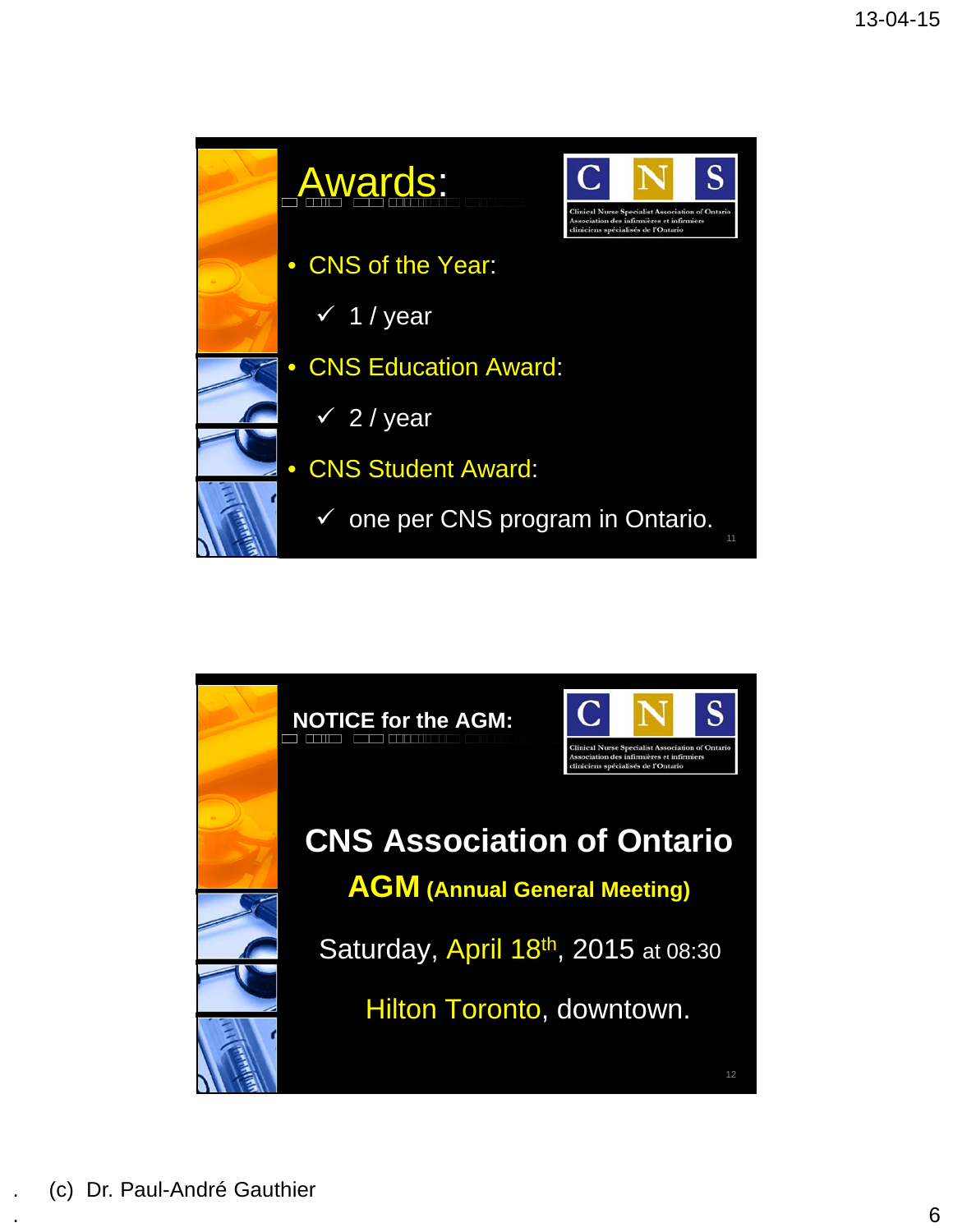